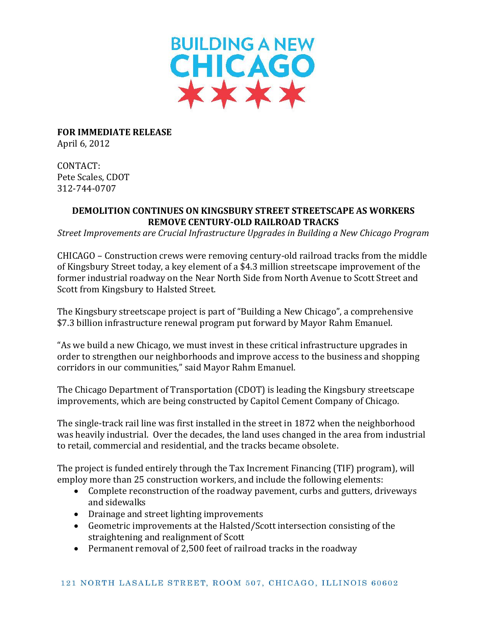

**FOR IMMEDIATE RELEASE** April 6, 2012

CONTACT: Pete Scales, CDOT 312-744-0707

## **DEMOLITION CONTINUES ON KINGSBURY STREET STREETSCAPE AS WORKERS REMOVE CENTURY-OLD RAILROAD TRACKS**

*Street Improvements are Crucial Infrastructure Upgrades in Building a New Chicago Program*

CHICAGO – Construction crews were removing century-old railroad tracks from the middle of Kingsbury Street today, a key element of a \$4.3 million streetscape improvement of the former industrial roadway on the Near North Side from North Avenue to Scott Street and Scott from Kingsbury to Halsted Street.

The Kingsbury streetscape project is part of "Building a New Chicago", a comprehensive \$7.3 billion infrastructure renewal program put forward by Mayor Rahm Emanuel.

"As we build a new Chicago, we must invest in these critical infrastructure upgrades in order to strengthen our neighborhoods and improve access to the business and shopping corridors in our communities," said Mayor Rahm Emanuel.

The Chicago Department of Transportation (CDOT) is leading the Kingsbury streetscape improvements, which are being constructed by Capitol Cement Company of Chicago.

The single-track rail line was first installed in the street in 1872 when the neighborhood was heavily industrial. Over the decades, the land uses changed in the area from industrial to retail, commercial and residential, and the tracks became obsolete.

The project is funded entirely through the Tax Increment Financing (TIF) program), will employ more than 25 construction workers, and include the following elements:

- Complete reconstruction of the roadway pavement, curbs and gutters, driveways and sidewalks
- Drainage and street lighting improvements
- Geometric improvements at the Halsted/Scott intersection consisting of the straightening and realignment of Scott
- Permanent removal of 2,500 feet of railroad tracks in the roadway